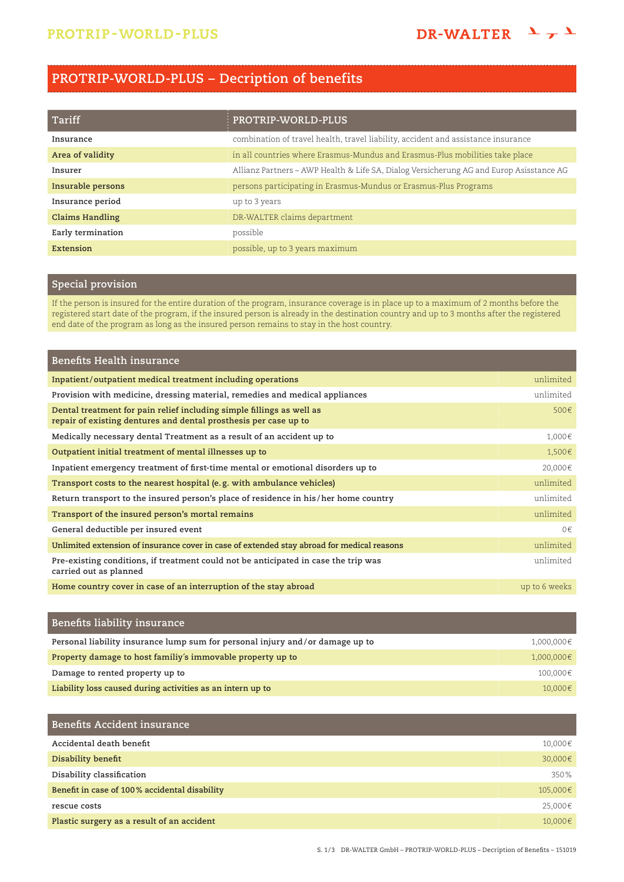# **PROTRIP-WORLD-PLUS – Decription of benefits**

| Tariff                 | PROTRIP-WORLD-PLUS                                                                      |
|------------------------|-----------------------------------------------------------------------------------------|
| Insurance              | combination of travel health, travel liability, accident and assistance insurance       |
| Area of validity       | in all countries where Erasmus-Mundus and Erasmus-Plus mobilities take place            |
| Insurer                | Allianz Partners – AWP Health & Life SA, Dialog Versicherung AG and Europ Asisstance AG |
| Insurable persons      | persons participating in Erasmus-Mundus or Erasmus-Plus Programs                        |
| Insurance period       | up to 3 years                                                                           |
| <b>Claims Handling</b> | DR-WALTER claims department                                                             |
| Early termination      | possible                                                                                |
| Extension              | possible, up to 3 years maximum                                                         |

## **Special provision**

If the person is insured for the entire duration of the program, insurance coverage is in place up to a maximum of 2 months before the registered start date of the program, if the insured person is already in the destination country and up to 3 months after the registered end date of the program as long as the insured person remains to stay in the host country.

| <b>Benefits Health insurance</b>                                                                                                          |               |
|-------------------------------------------------------------------------------------------------------------------------------------------|---------------|
| Inpatient/outpatient medical treatment including operations                                                                               | unlimited     |
| Provision with medicine, dressing material, remedies and medical appliances                                                               | unlimited     |
| Dental treatment for pain relief including simple fillings as well as<br>repair of existing dentures and dental prosthesis per case up to | 500€          |
| Medically necessary dental Treatment as a result of an accident up to                                                                     | 1,000€        |
| Outpatient initial treatment of mental illnesses up to                                                                                    | 1,500€        |
| Inpatient emergency treatment of first-time mental or emotional disorders up to                                                           | 20,000€       |
| Transport costs to the nearest hospital (e.g. with ambulance vehicles)                                                                    | unlimited     |
| Return transport to the insured person's place of residence in his/her home country                                                       | unlimited     |
| Transport of the insured person's mortal remains                                                                                          | unlimited     |
| General deductible per insured event                                                                                                      | $0 \in$       |
| Unlimited extension of insurance cover in case of extended stay abroad for medical reasons                                                | unlimited     |
| Pre-existing conditions, if treatment could not be anticipated in case the trip was<br>carried out as planned                             | unlimited     |
| Home country cover in case of an interruption of the stay abroad                                                                          | up to 6 weeks |

| Benefits liability insurance                                                  |            |
|-------------------------------------------------------------------------------|------------|
| Personal liability insurance lump sum for personal injury and/or damage up to | 1,000,000€ |
| Property damage to host familiy's immovable property up to                    | 1,000,000€ |
| Damage to rented property up to                                               | 100,000€   |
| Liability loss caused during activities as an intern up to                    | 10,000€    |

| <b>Benefits Accident insurance</b>            |          |
|-----------------------------------------------|----------|
| Accidental death benefit                      | 10,000€  |
| Disability benefit                            | 30,000€  |
| Disability classification                     | 350%     |
| Benefit in case of 100% accidental disability | 105,000€ |
| rescue costs                                  | 25,000€  |
| Plastic surgery as a result of an accident    | 10.000€  |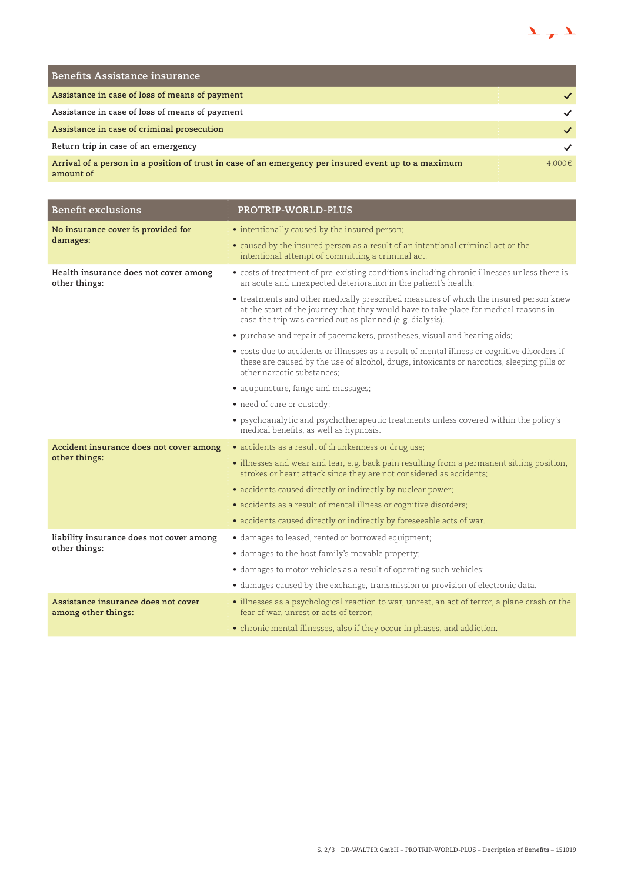

| <b>Benefits Assistance insurance</b>                                                                              |        |
|-------------------------------------------------------------------------------------------------------------------|--------|
| Assistance in case of loss of means of payment                                                                    |        |
| Assistance in case of loss of means of payment                                                                    |        |
| Assistance in case of criminal prosecution                                                                        |        |
| Return trip in case of an emergency                                                                               |        |
| Arrival of a person in a position of trust in case of an emergency per insured event up to a maximum<br>amount of | 4.000€ |

| <b>Benefit exclusions</b>                                  | PROTRIP-WORLD-PLUS                                                                                                                                                                                                                          |
|------------------------------------------------------------|---------------------------------------------------------------------------------------------------------------------------------------------------------------------------------------------------------------------------------------------|
| No insurance cover is provided for<br>damages:             | • intentionally caused by the insured person;                                                                                                                                                                                               |
|                                                            | • caused by the insured person as a result of an intentional criminal act or the<br>intentional attempt of committing a criminal act.                                                                                                       |
| Health insurance does not cover among<br>other things:     | • costs of treatment of pre-existing conditions including chronic illnesses unless there is<br>an acute and unexpected deterioration in the patient's health;                                                                               |
|                                                            | • treatments and other medically prescribed measures of which the insured person knew<br>at the start of the journey that they would have to take place for medical reasons in<br>case the trip was carried out as planned (e.g. dialysis); |
|                                                            | • purchase and repair of pacemakers, prostheses, visual and hearing aids;                                                                                                                                                                   |
|                                                            | • costs due to accidents or illnesses as a result of mental illness or cognitive disorders if<br>these are caused by the use of alcohol, drugs, intoxicants or narcotics, sleeping pills or<br>other narcotic substances;                   |
|                                                            | • acupuncture, fango and massages;                                                                                                                                                                                                          |
|                                                            | • need of care or custody;                                                                                                                                                                                                                  |
|                                                            | • psychoanalytic and psychotherapeutic treatments unless covered within the policy's<br>medical benefits, as well as hypnosis.                                                                                                              |
| Accident insurance does not cover among<br>other things:   | · accidents as a result of drunkenness or drug use;                                                                                                                                                                                         |
|                                                            | • illnesses and wear and tear, e.g. back pain resulting from a permanent sitting position,<br>strokes or heart attack since they are not considered as accidents;                                                                           |
|                                                            | • accidents caused directly or indirectly by nuclear power;                                                                                                                                                                                 |
|                                                            | • accidents as a result of mental illness or cognitive disorders;                                                                                                                                                                           |
|                                                            | • accidents caused directly or indirectly by foreseeable acts of war.                                                                                                                                                                       |
| liability insurance does not cover among                   | · damages to leased, rented or borrowed equipment;                                                                                                                                                                                          |
| other things:                                              | • damages to the host family's movable property;                                                                                                                                                                                            |
|                                                            | • damages to motor vehicles as a result of operating such vehicles;                                                                                                                                                                         |
|                                                            | • damages caused by the exchange, transmission or provision of electronic data.                                                                                                                                                             |
| Assistance insurance does not cover<br>among other things: | · illnesses as a psychological reaction to war, unrest, an act of terror, a plane crash or the<br>fear of war, unrest or acts of terror;                                                                                                    |
|                                                            | • chronic mental illnesses, also if they occur in phases, and addiction.                                                                                                                                                                    |